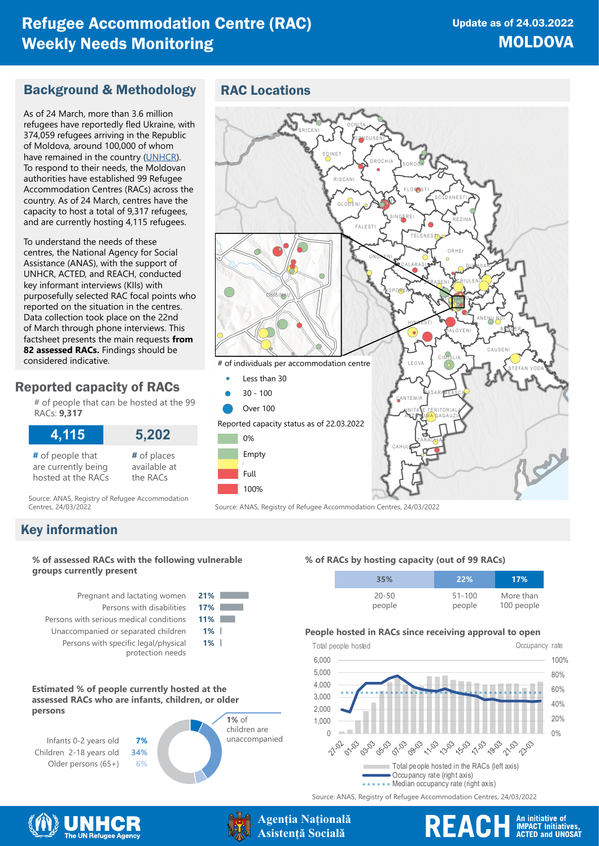## Refugee Accommodation Centre (RAC) Weekly Needs Monitoring

## Background & Methodology

As of 24 March, more than 3.6 million refugees have reportedly fled Ukraine, with 374,059 refugees arriving in the Republic of Moldova, around 100,000 of whom have remained in the country ([UNHCR](https://data2.unhcr.org/en/situations/ukraine)). To respond to their needs, the Moldovan authorities have established 99 Refugee Accommodation Centres (RACs) across the country. As of 24 March, centres have the capacity to host a total of 9,317 refugees, and are currently hosting 4,115 refugees.

To understand the needs of these centres, the National Agency for Social Assistance (ANAS), with the support of UNHCR, ACTED, and REACH, conducted key informant interviews (KIIs) with purposefully selected RAC focal points who reported on the situation in the centres. Data collection took place on the 22nd of March through phone interviews. This factsheet presents the main requests **from 82 assessed RACs.** Findings should be considered indicative.

## Reported capacity of RACs

# of people that can be hosted at the 99 RACs: **9,317**

| 4,115               | 5,202        |
|---------------------|--------------|
| # of people that    | # of places  |
| are currently being | available at |
| hosted at the RACs  | the RACs     |

Source: ANAS, Registry of Refugee Accommodation<br>Centres, 24/03/2022

## Key information

#### **% of assessed RACs with the following vulnerable groups currently present**

Pregnant and lactating women **21%** Persons with disabilities **17%** Persons with serious medical conditions **11%** Unaccompanied or separated children **1%** Persons with specific legal/physical protection needs



#### **Estimated % of people currently hosted at the assessed RACs who are infants, children, or older persons**



## RAC Locations



Source: ANAS, Registry of Refugee Accommodation Centres, 24/03/2022

#### **% of RACs by hosting capacity (out of 99 RACs)**

| 35%       | 22%        | 17%        |
|-----------|------------|------------|
| $20 - 50$ | $51 - 100$ | More than  |
| people    | people     | 100 people |

#### **People hosted in RACs since receiving approval to open**



Source: ANAS, Registry of Refugee Accommodation Centres, 24/03/2022





# REACH An initiative of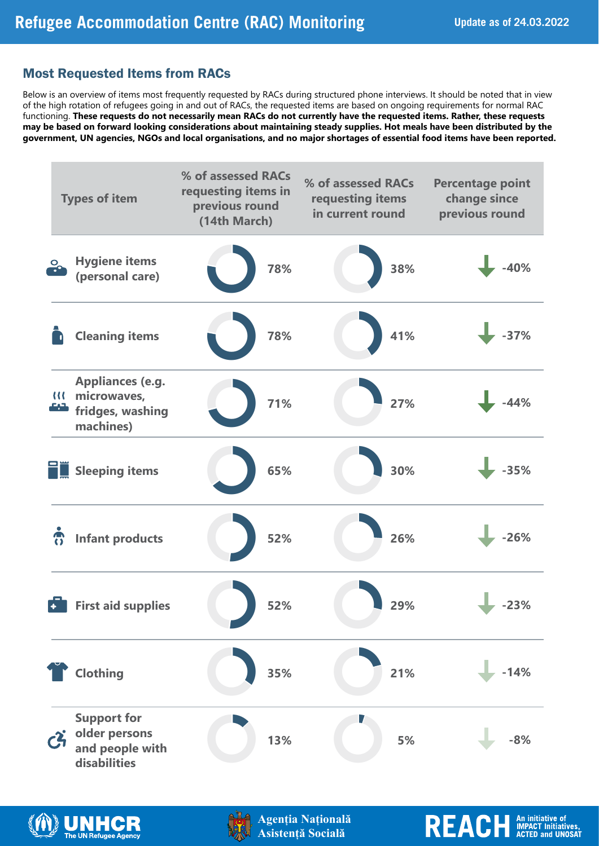REACH An initiative of

## Most Requested Items from RACs

Below is an overview of items most frequently requested by RACs during structured phone interviews. It should be noted that in view of the high rotation of refugees going in and out of RACs, the requested items are based on ongoing requirements for normal RAC functioning. **These requests do not necessarily mean RACs do not currently have the requested items. Rather, these requests may be based on forward looking considerations about maintaining steady supplies. Hot meals have been distributed by the government, UN agencies, NGOs and local organisations, and no major shortages of essential food items have been reported.**







**Agenția Națională Asistență Socială**